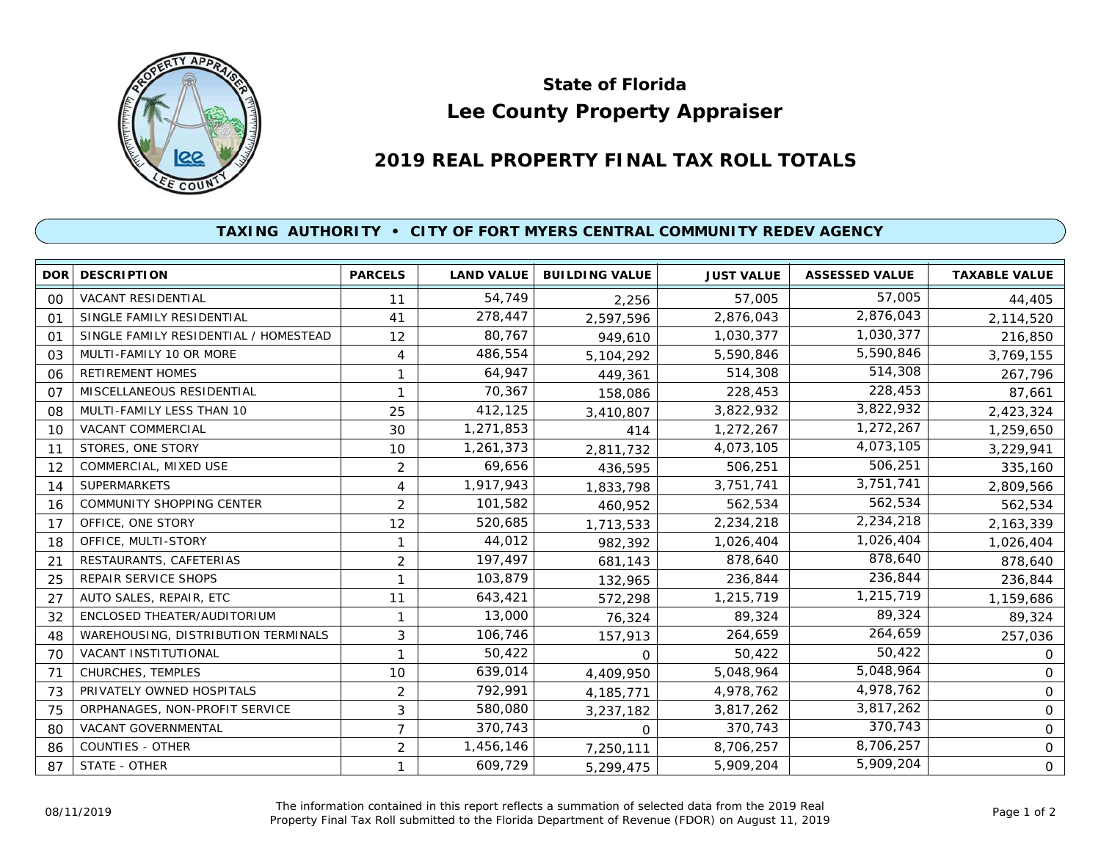

## **Lee County Property Appraiser State of Florida**

## **2019 REAL PROPERTY FINAL TAX ROLL TOTALS**

## **TAXING AUTHORITY • CITY OF FORT MYERS CENTRAL COMMUNITY REDEV AGENCY**

|                | <b>DOR DESCRIPTION</b>                | <b>PARCELS</b> | <b>LAND VALUE</b> | <b>BUILDING VALUE</b> | <b>JUST VALUE</b> | <b>ASSESSED VALUE</b> | <b>TAXABLE VALUE</b> |
|----------------|---------------------------------------|----------------|-------------------|-----------------------|-------------------|-----------------------|----------------------|
| 0 <sup>0</sup> | VACANT RESIDENTIAL                    | 11             | 54,749            | 2,256                 | 57,005            | 57,005                | 44,405               |
| 01             | SINGLE FAMILY RESIDENTIAL             | 41             | 278,447           | 2,597,596             | 2,876,043         | 2,876,043             | 2,114,520            |
| 01             | SINGLE FAMILY RESIDENTIAL / HOMESTEAD | 12             | 80,767            | 949,610               | 1,030,377         | 1,030,377             | 216,850              |
| 03             | MULTI-FAMILY 10 OR MORE               | 4              | 486,554           | 5,104,292             | 5,590,846         | 5,590,846             | 3,769,155            |
| 06             | <b>RETIREMENT HOMES</b>               | 1              | 64,947            | 449,361               | 514,308           | 514,308               | 267,796              |
| 07             | MISCELLANEOUS RESIDENTIAL             | 1              | 70,367            | 158,086               | 228,453           | 228,453               | 87,661               |
| 08             | MULTI-FAMILY LESS THAN 10             | 25             | 412,125           | 3,410,807             | 3,822,932         | 3,822,932             | 2,423,324            |
| 10             | VACANT COMMERCIAL                     | 30             | 1,271,853         | 414                   | 1,272,267         | 1,272,267             | 1,259,650            |
| 11             | STORES, ONE STORY                     | 10             | 1,261,373         | 2,811,732             | 4,073,105         | 4,073,105             | 3,229,941            |
| 12             | COMMERCIAL, MIXED USE                 | $\overline{c}$ | 69,656            | 436,595               | 506,251           | 506,251               | 335,160              |
| 14             | <b>SUPERMARKETS</b>                   | 4              | 1,917,943         | 1,833,798             | 3,751,741         | 3,751,741             | 2,809,566            |
| 16             | <b>COMMUNITY SHOPPING CENTER</b>      | $\overline{2}$ | 101,582           | 460,952               | 562,534           | 562,534               | 562,534              |
| 17             | OFFICE, ONE STORY                     | 12             | 520,685           | 1,713,533             | 2,234,218         | 2,234,218             | 2,163,339            |
| 18             | OFFICE, MULTI-STORY                   |                | 44,012            | 982,392               | 1,026,404         | 1,026,404             | 1,026,404            |
| 21             | RESTAURANTS, CAFETERIAS               | $\overline{2}$ | 197,497           | 681,143               | 878,640           | 878,640               | 878,640              |
| 25             | REPAIR SERVICE SHOPS                  | 1              | 103,879           | 132,965               | 236,844           | 236,844               | 236,844              |
| 27             | AUTO SALES, REPAIR, ETC               | 11             | 643,421           | 572,298               | 1,215,719         | 1,215,719             | 1,159,686            |
| 32             | ENCLOSED THEATER/AUDITORIUM           | 1              | 13,000            | 76,324                | 89,324            | 89,324                | 89,324               |
| 48             | WAREHOUSING, DISTRIBUTION TERMINALS   | 3              | 106,746           | 157,913               | 264,659           | 264,659               | 257,036              |
| 70             | VACANT INSTITUTIONAL                  | 1              | 50,422            | $\Omega$              | 50,422            | 50,422                | 0                    |
| 71             | CHURCHES, TEMPLES                     | 10             | 639,014           | 4,409,950             | 5,048,964         | 5,048,964             | $\mathsf{O}$         |
| 73             | PRIVATELY OWNED HOSPITALS             | $\overline{c}$ | 792,991           | 4, 185, 771           | 4,978,762         | 4,978,762             | 0                    |
| 75             | ORPHANAGES, NON-PROFIT SERVICE        | 3              | 580,080           | 3,237,182             | 3,817,262         | 3,817,262             | 0                    |
| 80             | VACANT GOVERNMENTAL                   | 7              | 370,743           | $\Omega$              | 370,743           | 370,743               | $\mathsf{O}$         |
| 86             | <b>COUNTIES - OTHER</b>               | $\overline{c}$ | 1,456,146         | 7,250,111             | 8,706,257         | 8,706,257             | 0                    |
| 87             | STATE - OTHER                         | 1              | 609,729           | 5,299,475             | 5,909,204         | 5,909,204             | $\mathsf{O}$         |